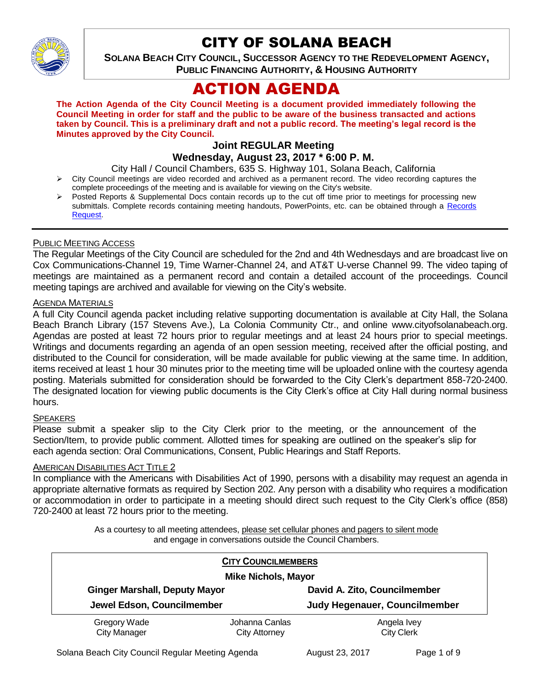

# CITY OF SOLANA BEACH

**SOLANA BEACH CITY COUNCIL, SUCCESSOR AGENCY TO THE REDEVELOPMENT AGENCY, PUBLIC FINANCING AUTHORITY, & HOUSING AUTHORITY** 

# ACTION AGENDA

**The Action Agenda of the City Council Meeting is a document provided immediately following the Council Meeting in order for staff and the public to be aware of the business transacted and actions taken by Council. This is a preliminary draft and not a public record. The meeting's legal record is the Minutes approved by the City Council.**

# **Joint REGULAR Meeting**

# **Wednesday, August 23, 2017 \* 6:00 P. M.**

City Hall / Council Chambers, 635 S. Highway 101, Solana Beach, California

- $\triangleright$  City Council meetings are video recorded and archived as a permanent record. The video recording captures the complete proceedings of the meeting and is available for viewing on the City's website.
- Posted Reports & Supplemental Docs contain records up to the cut off time prior to meetings for processing new submittals. Complete records containing meeting handouts, PowerPoints, etc. can be obtained through a Records [Request.](http://www.ci.solana-beach.ca.us/index.asp?SEC=F5D45D10-70CE-4291-A27C-7BD633FC6742&Type=B_BASIC)

#### PUBLIC MEETING ACCESS

The Regular Meetings of the City Council are scheduled for the 2nd and 4th Wednesdays and are broadcast live on Cox Communications-Channel 19, Time Warner-Channel 24, and AT&T U-verse Channel 99. The video taping of meetings are maintained as a permanent record and contain a detailed account of the proceedings. Council meeting tapings are archived and available for viewing on the City's website.

#### **AGENDA MATERIALS**

A full City Council agenda packet including relative supporting documentation is available at City Hall, the Solana Beach Branch Library (157 Stevens Ave.), La Colonia Community Ctr., and online www.cityofsolanabeach.org. Agendas are posted at least 72 hours prior to regular meetings and at least 24 hours prior to special meetings. Writings and documents regarding an agenda of an open session meeting, received after the official posting, and distributed to the Council for consideration, will be made available for public viewing at the same time. In addition, items received at least 1 hour 30 minutes prior to the meeting time will be uploaded online with the courtesy agenda posting. Materials submitted for consideration should be forwarded to the City Clerk's department 858-720-2400. The designated location for viewing public documents is the City Clerk's office at City Hall during normal business hours.

#### **SPEAKERS**

Please submit a speaker slip to the City Clerk prior to the meeting, or the announcement of the Section/Item, to provide public comment. Allotted times for speaking are outlined on the speaker's slip for each agenda section: Oral Communications, Consent, Public Hearings and Staff Reports.

#### AMERICAN DISABILITIES ACT TITLE 2

In compliance with the Americans with Disabilities Act of 1990, persons with a disability may request an agenda in appropriate alternative formats as required by Section 202. Any person with a disability who requires a modification or accommodation in order to participate in a meeting should direct such request to the City Clerk's office (858) 720-2400 at least 72 hours prior to the meeting.

> As a courtesy to all meeting attendees, please set cellular phones and pagers to silent mode and engage in conversations outside the Council Chambers.

|                                                                    | <b>CITY COUNCILMEMBERS</b> |                                      |  |
|--------------------------------------------------------------------|----------------------------|--------------------------------------|--|
| <b>Mike Nichols, Mayor</b>                                         |                            |                                      |  |
| <b>Ginger Marshall, Deputy Mayor</b><br>Jewel Edson, Councilmember |                            | David A. Zito, Councilmember         |  |
|                                                                    |                            | <b>Judy Hegenauer, Councilmember</b> |  |
| Gregory Wade                                                       | Johanna Canlas             | Angela Ivey                          |  |
| <b>City Manager</b>                                                | <b>City Attorney</b>       | <b>City Clerk</b>                    |  |

Solana Beach City Council Regular Meeting Agenda **August 23, 2017** Page 1 of 9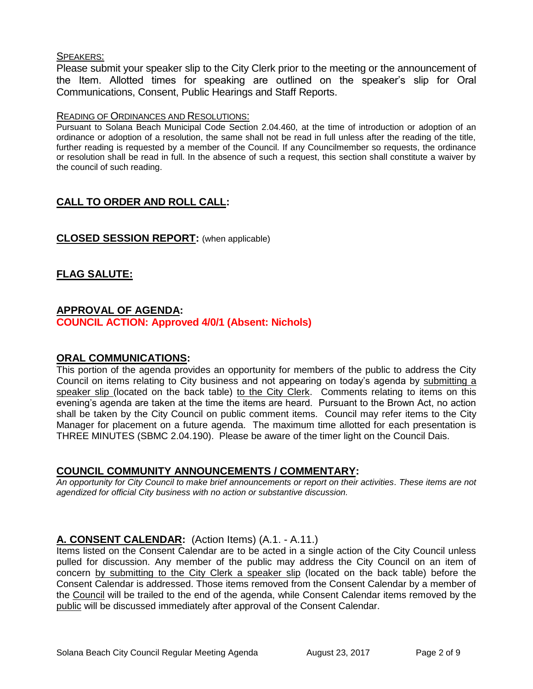#### SPEAKERS:

Please submit your speaker slip to the City Clerk prior to the meeting or the announcement of the Item. Allotted times for speaking are outlined on the speaker's slip for Oral Communications, Consent, Public Hearings and Staff Reports.

#### READING OF ORDINANCES AND RESOLUTIONS:

Pursuant to Solana Beach Municipal Code Section 2.04.460, at the time of introduction or adoption of an ordinance or adoption of a resolution, the same shall not be read in full unless after the reading of the title, further reading is requested by a member of the Council. If any Councilmember so requests, the ordinance or resolution shall be read in full. In the absence of such a request, this section shall constitute a waiver by the council of such reading.

# **CALL TO ORDER AND ROLL CALL:**

#### **CLOSED SESSION REPORT:** (when applicable)

# **FLAG SALUTE:**

## **APPROVAL OF AGENDA:**

**COUNCIL ACTION: Approved 4/0/1 (Absent: Nichols)**

#### **ORAL COMMUNICATIONS:**

This portion of the agenda provides an opportunity for members of the public to address the City Council on items relating to City business and not appearing on today's agenda by submitting a speaker slip (located on the back table) to the City Clerk. Comments relating to items on this evening's agenda are taken at the time the items are heard. Pursuant to the Brown Act, no action shall be taken by the City Council on public comment items. Council may refer items to the City Manager for placement on a future agenda. The maximum time allotted for each presentation is THREE MINUTES (SBMC 2.04.190). Please be aware of the timer light on the Council Dais.

## **COUNCIL COMMUNITY ANNOUNCEMENTS / COMMENTARY:**

*An opportunity for City Council to make brief announcements or report on their activities. These items are not agendized for official City business with no action or substantive discussion.* 

## **A. CONSENT CALENDAR:** (Action Items) (A.1. - A.11.)

Items listed on the Consent Calendar are to be acted in a single action of the City Council unless pulled for discussion. Any member of the public may address the City Council on an item of concern by submitting to the City Clerk a speaker slip (located on the back table) before the Consent Calendar is addressed. Those items removed from the Consent Calendar by a member of the Council will be trailed to the end of the agenda, while Consent Calendar items removed by the public will be discussed immediately after approval of the Consent Calendar.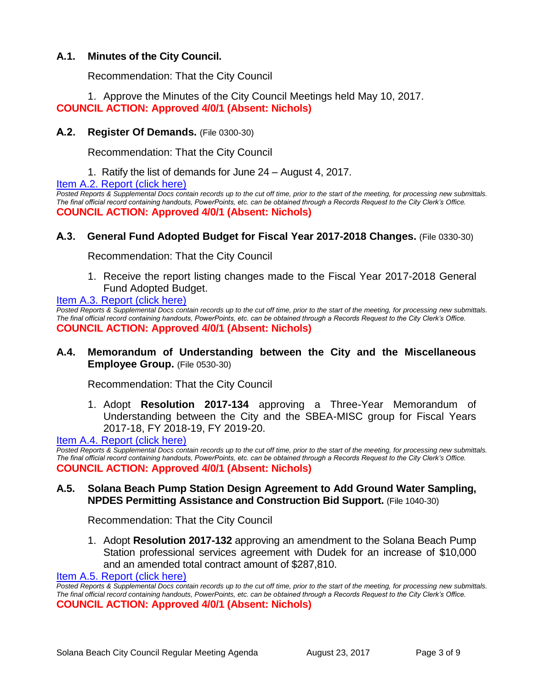## **A.1. Minutes of the City Council.**

Recommendation: That the City Council

1. Approve the Minutes of the City Council Meetings held May 10, 2017. **COUNCIL ACTION: Approved 4/0/1 (Absent: Nichols)**

#### **A.2. Register Of Demands.** (File 0300-30)

Recommendation: That the City Council

1. Ratify the list of demands for June 24 – August 4, 2017.

[Item A.2. Report \(click here\)](https://solanabeach.govoffice3.com/vertical/Sites/%7B840804C2-F869-4904-9AE3-720581350CE7%7D/uploads/Item_A.2._Report_(click_here)_-_8-23-17.PDF)

*Posted Reports & Supplemental Docs contain records up to the cut off time, prior to the start of the meeting, for processing new submittals. The final official record containing handouts, PowerPoints, etc. can be obtained through a Records Request to the City Clerk's Office.* **COUNCIL ACTION: Approved 4/0/1 (Absent: Nichols)**

#### **A.3. General Fund Adopted Budget for Fiscal Year 2017-2018 Changes.** (File 0330-30)

Recommendation: That the City Council

1. Receive the report listing changes made to the Fiscal Year 2017-2018 General Fund Adopted Budget.

[Item A.3. Report \(click here\)](https://solanabeach.govoffice3.com/vertical/Sites/%7B840804C2-F869-4904-9AE3-720581350CE7%7D/uploads/Item_A.3._Report_(click_here)_-_8-23-17.PDF)

*Posted Reports & Supplemental Docs contain records up to the cut off time, prior to the start of the meeting, for processing new submittals. The final official record containing handouts, PowerPoints, etc. can be obtained through a Records Request to the City Clerk's Office.* **COUNCIL ACTION: Approved 4/0/1 (Absent: Nichols)**

## **A.4. Memorandum of Understanding between the City and the Miscellaneous Employee Group.** (File 0530-30)

Recommendation: That the City Council

1. Adopt **Resolution 2017-134** approving a Three-Year Memorandum of Understanding between the City and the SBEA-MISC group for Fiscal Years 2017-18, FY 2018-19, FY 2019-20.

[Item A.4. Report \(click here\)](https://solanabeach.govoffice3.com/vertical/Sites/%7B840804C2-F869-4904-9AE3-720581350CE7%7D/uploads/Item_A.4._Report_(click_here)_-_8-23-17.PDF)

*Posted Reports & Supplemental Docs contain records up to the cut off time, prior to the start of the meeting, for processing new submittals. The final official record containing handouts, PowerPoints, etc. can be obtained through a Records Request to the City Clerk's Office.* **COUNCIL ACTION: Approved 4/0/1 (Absent: Nichols)**

#### **A.5. Solana Beach Pump Station Design Agreement to Add Ground Water Sampling, NPDES Permitting Assistance and Construction Bid Support.** (File 1040-30)

Recommendation: That the City Council

1. Adopt **Resolution 2017-132** approving an amendment to the Solana Beach Pump Station professional services agreement with Dudek for an increase of \$10,000 and an amended total contract amount of \$287,810.

Item A.5. [Report \(click here\)](https://solanabeach.govoffice3.com/vertical/Sites/%7B840804C2-F869-4904-9AE3-720581350CE7%7D/uploads/Item_A.5._Report_(click_here)_-_8-23-17.PDF)

*Posted Reports & Supplemental Docs contain records up to the cut off time, prior to the start of the meeting, for processing new submittals. The final official record containing handouts, PowerPoints, etc. can be obtained through a Records Request to the City Clerk's Office.* **COUNCIL ACTION: Approved 4/0/1 (Absent: Nichols)**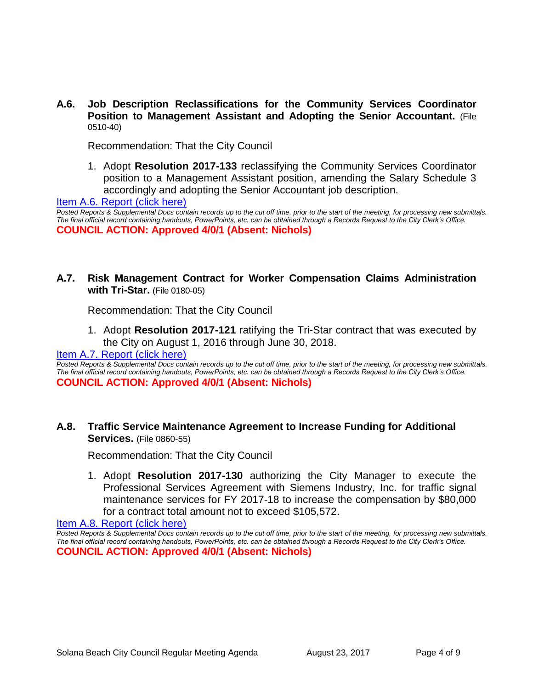**A.6. Job Description Reclassifications for the Community Services Coordinator Position to Management Assistant and Adopting the Senior Accountant.** (File 0510-40)

Recommendation: That the City Council

1. Adopt **Resolution 2017-133** reclassifying the Community Services Coordinator position to a Management Assistant position, amending the Salary Schedule 3 accordingly and adopting the Senior Accountant job description.

[Item A.6. Report \(click here\)](https://solanabeach.govoffice3.com/vertical/Sites/%7B840804C2-F869-4904-9AE3-720581350CE7%7D/uploads/Item_A.6._Report_(click_here)_-_8-23-17.PDF)

**Posted Reports & Supplemental Docs contain records up to the cut off time, prior to the start of the meeting, for processing new submittals.** *The final official record containing handouts, PowerPoints, etc. can be obtained through a Records Request to the City Clerk's Office.* **COUNCIL ACTION: Approved 4/0/1 (Absent: Nichols)**

**A.7. Risk Management Contract for Worker Compensation Claims Administration with Tri-Star.** (File 0180-05)

Recommendation: That the City Council

1. Adopt **Resolution 2017-121** ratifying the Tri-Star contract that was executed by the City on August 1, 2016 through June 30, 2018.

[Item A.7. Report \(click here\)](https://solanabeach.govoffice3.com/vertical/Sites/%7B840804C2-F869-4904-9AE3-720581350CE7%7D/uploads/Item_A.7._Report_(click_here)_-_8-23-17.PDF)

*Posted Reports & Supplemental Docs contain records up to the cut off time, prior to the start of the meeting, for processing new submittals. The final official record containing handouts, PowerPoints, etc. can be obtained through a Records Request to the City Clerk's Office.* **COUNCIL ACTION: Approved 4/0/1 (Absent: Nichols)**

#### **A.8. Traffic Service Maintenance Agreement to Increase Funding for Additional Services.** (File 0860-55)

Recommendation: That the City Council

1. Adopt **Resolution 2017-130** authorizing the City Manager to execute the Professional Services Agreement with Siemens Industry, Inc. for traffic signal maintenance services for FY 2017-18 to increase the compensation by \$80,000 for a contract total amount not to exceed \$105,572.

[Item A.8. Report \(click here\)](https://solanabeach.govoffice3.com/vertical/Sites/%7B840804C2-F869-4904-9AE3-720581350CE7%7D/uploads/Item_A.8._Report_(click_here)_-_8-23-17.PDF)

*Posted Reports & Supplemental Docs contain records up to the cut off time, prior to the start of the meeting, for processing new submittals. The final official record containing handouts, PowerPoints, etc. can be obtained through a Records Request to the City Clerk's Office.* **COUNCIL ACTION: Approved 4/0/1 (Absent: Nichols)**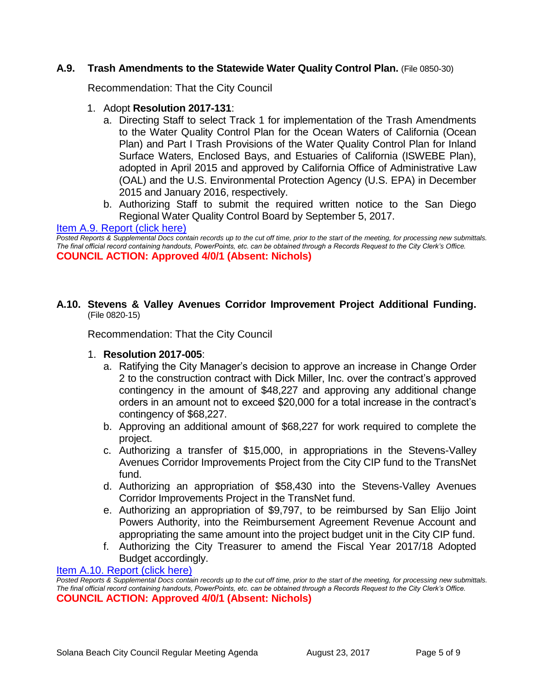#### **A.9. Trash Amendments to the Statewide Water Quality Control Plan.** (File 0850-30)

Recommendation: That the City Council

- 1. Adopt **Resolution 2017-131**:
	- a. Directing Staff to select Track 1 for implementation of the Trash Amendments to the Water Quality Control Plan for the Ocean Waters of California (Ocean Plan) and Part I Trash Provisions of the Water Quality Control Plan for Inland Surface Waters, Enclosed Bays, and Estuaries of California (ISWEBE Plan), adopted in April 2015 and approved by California Office of Administrative Law (OAL) and the U.S. Environmental Protection Agency (U.S. EPA) in December 2015 and January 2016, respectively.
	- b. Authorizing Staff to submit the required written notice to the San Diego Regional Water Quality Control Board by September 5, 2017.

#### [Item A.9. Report \(click here\)](https://solanabeach.govoffice3.com/vertical/Sites/%7B840804C2-F869-4904-9AE3-720581350CE7%7D/uploads/Item_A.9._Report_(click_here)_-_8-23-17.PDF)

*Posted Reports & Supplemental Docs contain records up to the cut off time, prior to the start of the meeting, for processing new submittals. The final official record containing handouts, PowerPoints, etc. can be obtained through a Records Request to the City Clerk's Office.* **COUNCIL ACTION: Approved 4/0/1 (Absent: Nichols)**

#### **A.10. Stevens & Valley Avenues Corridor Improvement Project Additional Funding.** (File 0820-15)

Recommendation: That the City Council

- 1. **Resolution 2017-005**:
	- a. Ratifying the City Manager's decision to approve an increase in Change Order 2 to the construction contract with Dick Miller, Inc. over the contract's approved contingency in the amount of \$48,227 and approving any additional change orders in an amount not to exceed \$20,000 for a total increase in the contract's contingency of \$68,227.
	- b. Approving an additional amount of \$68,227 for work required to complete the project.
	- c. Authorizing a transfer of \$15,000, in appropriations in the Stevens-Valley Avenues Corridor Improvements Project from the City CIP fund to the TransNet fund.
	- d. Authorizing an appropriation of \$58,430 into the Stevens-Valley Avenues Corridor Improvements Project in the TransNet fund.
	- e. Authorizing an appropriation of \$9,797, to be reimbursed by San Elijo Joint Powers Authority, into the Reimbursement Agreement Revenue Account and appropriating the same amount into the project budget unit in the City CIP fund.
	- f. Authorizing the City Treasurer to amend the Fiscal Year 2017/18 Adopted Budget accordingly.

[Item A.10. Report \(click here\)](https://solanabeach.govoffice3.com/vertical/Sites/%7B840804C2-F869-4904-9AE3-720581350CE7%7D/uploads/Item_A.10._Report_(click_here)_-_8-23-17.PDF)

*Posted Reports & Supplemental Docs contain records up to the cut off time, prior to the start of the meeting, for processing new submittals. The final official record containing handouts, PowerPoints, etc. can be obtained through a Records Request to the City Clerk's Office.* **COUNCIL ACTION: Approved 4/0/1 (Absent: Nichols)**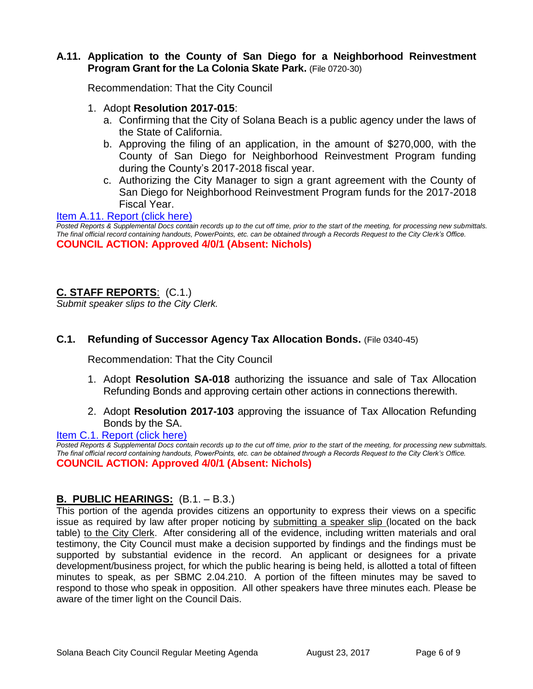#### **A.11. Application to the County of San Diego for a Neighborhood Reinvestment Program Grant for the La Colonia Skate Park.** (File 0720-30)

Recommendation: That the City Council

- 1. Adopt **Resolution 2017-015**:
	- a. Confirming that the City of Solana Beach is a public agency under the laws of the State of California.
	- b. Approving the filing of an application, in the amount of \$270,000, with the County of San Diego for Neighborhood Reinvestment Program funding during the County's 2017-2018 fiscal year.
	- c. Authorizing the City Manager to sign a grant agreement with the County of San Diego for Neighborhood Reinvestment Program funds for the 2017-2018 Fiscal Year.

[Item A.11. Report \(click here\)](https://solanabeach.govoffice3.com/vertical/Sites/%7B840804C2-F869-4904-9AE3-720581350CE7%7D/uploads/Item_A.11._Report_(click_here)_-_8-23-17.PDF)

*Posted Reports & Supplemental Docs contain records up to the cut off time, prior to the start of the meeting, for processing new submittals. The final official record containing handouts, PowerPoints, etc. can be obtained through a Records Request to the City Clerk's Office.* **COUNCIL ACTION: Approved 4/0/1 (Absent: Nichols)**

# **C. STAFF REPORTS**: (C.1.)

*Submit speaker slips to the City Clerk.*

## **C.1. Refunding of Successor Agency Tax Allocation Bonds.** (File 0340-45)

Recommendation: That the City Council

- 1. Adopt **Resolution SA-018** authorizing the issuance and sale of Tax Allocation Refunding Bonds and approving certain other actions in connections therewith.
- 2. Adopt **Resolution 2017-103** approving the issuance of Tax Allocation Refunding Bonds by the SA.

#### [Item C.1. Report \(click here\)](https://solanabeach.govoffice3.com/vertical/Sites/%7B840804C2-F869-4904-9AE3-720581350CE7%7D/uploads/Item_C.1._Report_(click_here)_-_8-23-17.PDF)

**Posted Reports & Supplemental Docs contain records up to the cut off time, prior to the start of the meeting, for processing new submittals.** *The final official record containing handouts, PowerPoints, etc. can be obtained through a Records Request to the City Clerk's Office.* **COUNCIL ACTION: Approved 4/0/1 (Absent: Nichols)**

## **B. PUBLIC HEARINGS:** (B.1. – B.3.)

This portion of the agenda provides citizens an opportunity to express their views on a specific issue as required by law after proper noticing by submitting a speaker slip (located on the back table) to the City Clerk. After considering all of the evidence, including written materials and oral testimony, the City Council must make a decision supported by findings and the findings must be supported by substantial evidence in the record. An applicant or designees for a private development/business project, for which the public hearing is being held, is allotted a total of fifteen minutes to speak, as per SBMC 2.04.210. A portion of the fifteen minutes may be saved to respond to those who speak in opposition. All other speakers have three minutes each. Please be aware of the timer light on the Council Dais.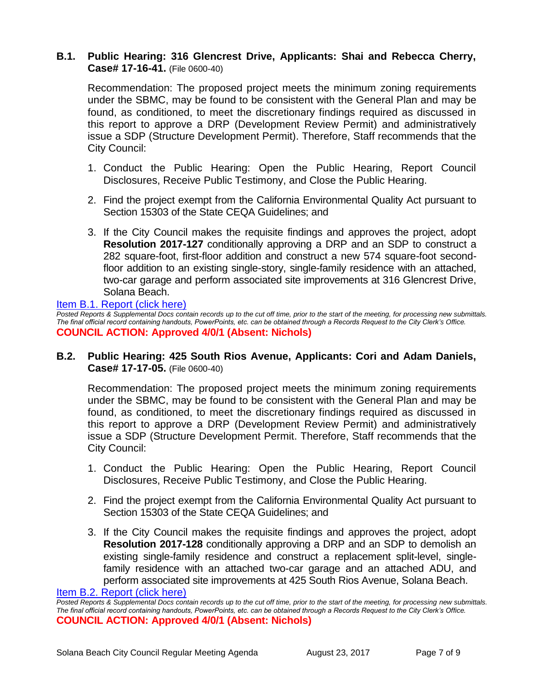## **B.1. Public Hearing: 316 Glencrest Drive, Applicants: Shai and Rebecca Cherry, Case# 17-16-41.** (File 0600-40)

Recommendation: The proposed project meets the minimum zoning requirements under the SBMC, may be found to be consistent with the General Plan and may be found, as conditioned, to meet the discretionary findings required as discussed in this report to approve a DRP (Development Review Permit) and administratively issue a SDP (Structure Development Permit). Therefore, Staff recommends that the City Council:

- 1. Conduct the Public Hearing: Open the Public Hearing, Report Council Disclosures, Receive Public Testimony, and Close the Public Hearing.
- 2. Find the project exempt from the California Environmental Quality Act pursuant to Section 15303 of the State CEQA Guidelines; and
- 3. If the City Council makes the requisite findings and approves the project, adopt **Resolution 2017-127** conditionally approving a DRP and an SDP to construct a 282 square-foot, first-floor addition and construct a new 574 square-foot secondfloor addition to an existing single-story, single-family residence with an attached, two-car garage and perform associated site improvements at 316 Glencrest Drive, Solana Beach.

[Item B.1. Report \(click here\)](https://solanabeach.govoffice3.com/vertical/Sites/%7B840804C2-F869-4904-9AE3-720581350CE7%7D/uploads/Item_B.1._Report_(click_here)_-_8-23-17.PDF) *Posted Reports & Supplemental Docs contain records up to the cut off time, prior to the start of the meeting, for processing new submittals. The final official record containing handouts, PowerPoints, etc. can be obtained through a Records Request to the City Clerk's Office.* **COUNCIL ACTION: Approved 4/0/1 (Absent: Nichols)**

## **B.2. Public Hearing: 425 South Rios Avenue, Applicants: Cori and Adam Daniels, Case# 17-17-05.** (File 0600-40)

Recommendation: The proposed project meets the minimum zoning requirements under the SBMC, may be found to be consistent with the General Plan and may be found, as conditioned, to meet the discretionary findings required as discussed in this report to approve a DRP (Development Review Permit) and administratively issue a SDP (Structure Development Permit. Therefore, Staff recommends that the City Council:

- 1. Conduct the Public Hearing: Open the Public Hearing, Report Council Disclosures, Receive Public Testimony, and Close the Public Hearing.
- 2. Find the project exempt from the California Environmental Quality Act pursuant to Section 15303 of the State CEQA Guidelines; and
- 3. If the City Council makes the requisite findings and approves the project, adopt **Resolution 2017-128** conditionally approving a DRP and an SDP to demolish an existing single-family residence and construct a replacement split-level, singlefamily residence with an attached two-car garage and an attached ADU, and perform associated site improvements at 425 South Rios Avenue, Solana Beach.

[Item B.2. Report \(click here\)](https://solanabeach.govoffice3.com/vertical/Sites/%7B840804C2-F869-4904-9AE3-720581350CE7%7D/uploads/Item_B.2._Report_(click_here)_-_8-23-17.PDF)

*Posted Reports & Supplemental Docs contain records up to the cut off time, prior to the start of the meeting, for processing new submittals. The final official record containing handouts, PowerPoints, etc. can be obtained through a Records Request to the City Clerk's Office.* **COUNCIL ACTION: Approved 4/0/1 (Absent: Nichols)**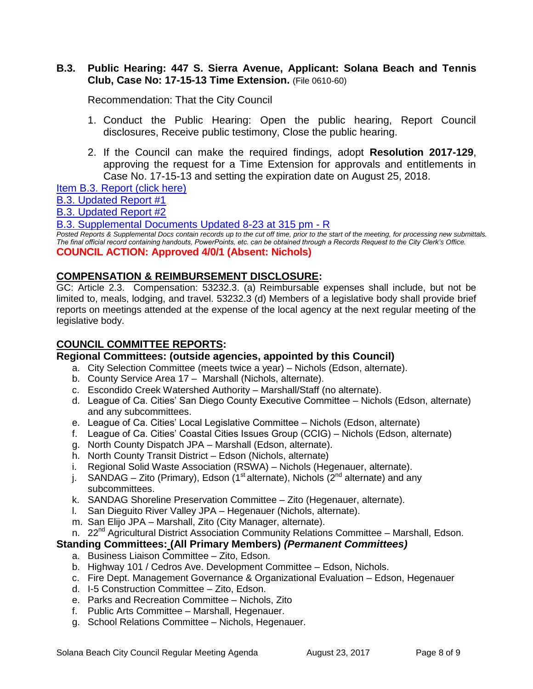#### **B.3. Public Hearing: 447 S. Sierra Avenue, Applicant: Solana Beach and Tennis Club, Case No: 17-15-13 Time Extension.** (File 0610-60)

Recommendation: That the City Council

- 1. Conduct the Public Hearing: Open the public hearing, Report Council disclosures, Receive public testimony, Close the public hearing.
- 2. If the Council can make the required findings, adopt **Resolution 2017-129**, approving the request for a Time Extension for approvals and entitlements in Case No. 17-15-13 and setting the expiration date on August 25, 2018.

[Item B.3. Report \(click here\)](https://solanabeach.govoffice3.com/vertical/Sites/%7B840804C2-F869-4904-9AE3-720581350CE7%7D/uploads/Item_B.3._Report_(click_here)_-_8-23-17.PDF)

[B.3. Updated Report #1](https://solanabeach.govoffice3.com/vertical/Sites/%7B840804C2-F869-4904-9AE3-720581350CE7%7D/uploads/B.3._Updated_Report_1_-_8-23-17.pdf)

[B.3. Updated Report #2](https://solanabeach.govoffice3.com/vertical/Sites/%7B840804C2-F869-4904-9AE3-720581350CE7%7D/uploads/B.3._Updated_Report_2_-_8-23-17.pdf)

[B.3. Supplemental Documents](https://solanabeach.govoffice3.com/vertical/Sites/%7B840804C2-F869-4904-9AE3-720581350CE7%7D/uploads/B.3._Supplemental_Documents_-_Updated_8-23_at_315pm_-_R.pdf) Updated 8-23 at 315 pm - R

Posted Reports & Supplemental Docs contain records up to the cut off time, prior to the start of the meeting, for processing new submittals. *The final official record containing handouts, PowerPoints, etc. can be obtained through a Records Request to the City Clerk's Office.* **COUNCIL ACTION: Approved 4/0/1 (Absent: Nichols)**

## **COMPENSATION & REIMBURSEMENT DISCLOSURE:**

GC: Article 2.3. Compensation: 53232.3. (a) Reimbursable expenses shall include, but not be limited to, meals, lodging, and travel. 53232.3 (d) Members of a legislative body shall provide brief reports on meetings attended at the expense of the local agency at the next regular meeting of the legislative body.

# **COUNCIL COMMITTEE REPORTS:**

## **Regional Committees: (outside agencies, appointed by this Council)**

- a. City Selection Committee (meets twice a year) Nichols (Edson, alternate).
- b. County Service Area 17 Marshall (Nichols, alternate).
- c. Escondido Creek Watershed Authority Marshall/Staff (no alternate).
- d. League of Ca. Cities' San Diego County Executive Committee Nichols (Edson, alternate) and any subcommittees.
- e. League of Ca. Cities' Local Legislative Committee Nichols (Edson, alternate)
- f. League of Ca. Cities' Coastal Cities Issues Group (CCIG) Nichols (Edson, alternate)
- g. North County Dispatch JPA Marshall (Edson, alternate).
- h. North County Transit District Edson (Nichols, alternate)
- i. Regional Solid Waste Association (RSWA) Nichols (Hegenauer, alternate).
- j. SANDAG Zito (Primary), Edson (1<sup>st</sup> alternate), Nichols (2<sup>nd</sup> alternate) and any subcommittees.
- k. SANDAG Shoreline Preservation Committee Zito (Hegenauer, alternate).
- l. San Dieguito River Valley JPA Hegenauer (Nichols, alternate).
- m. San Elijo JPA Marshall, Zito (City Manager, alternate).
- n. 22<sup>nd</sup> Agricultural District Association Community Relations Committee Marshall, Edson.

# **Standing Committees: (All Primary Members)** *(Permanent Committees)*

- a. Business Liaison Committee Zito, Edson.
- b. Highway 101 / Cedros Ave. Development Committee Edson, Nichols.
- c. Fire Dept. Management Governance & Organizational Evaluation Edson, Hegenauer
- d. I-5 Construction Committee Zito, Edson.
- e. Parks and Recreation Committee Nichols, Zito
- f. Public Arts Committee Marshall, Hegenauer.
- g. School Relations Committee Nichols, Hegenauer.